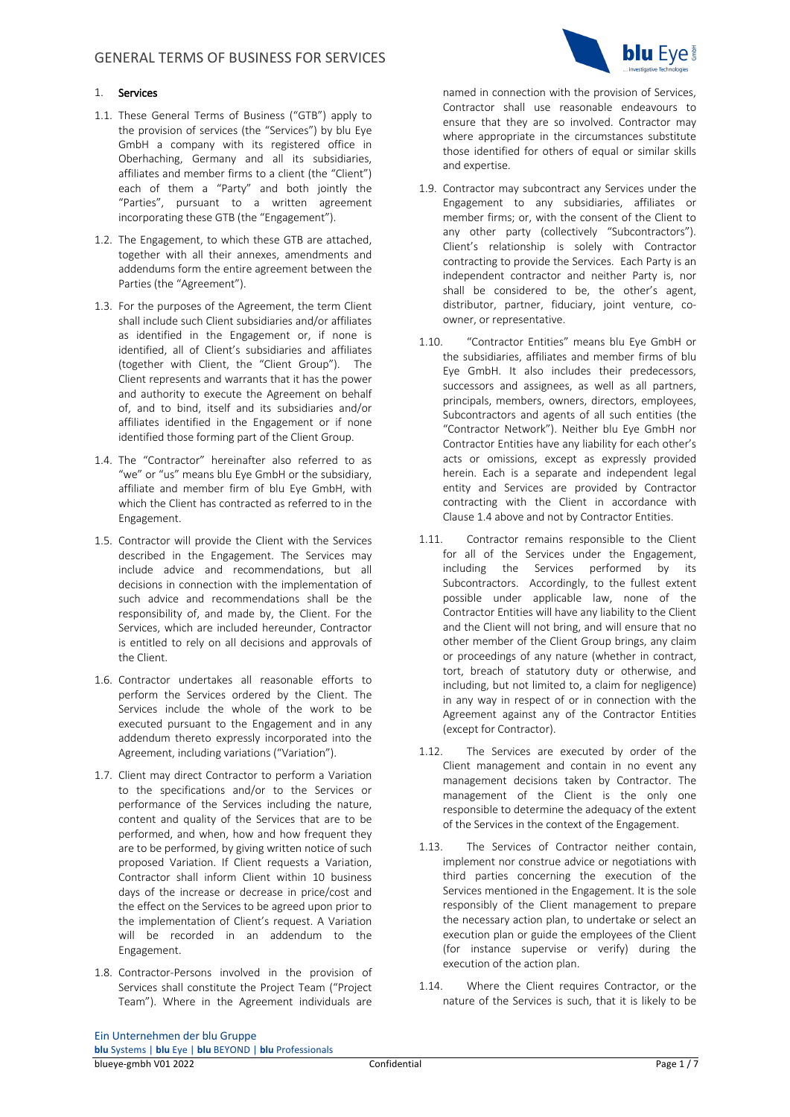## 1. Services

- 1.1. These General Terms of Business ("GTB") apply to the provision of services (the "Services") by blu Eye GmbH a company with its registered office in Oberhaching, Germany and all its subsidiaries, affiliates and member firms to a client (the "Client") each of them a "Party" and both jointly the "Parties", pursuant to a written agreement incorporating these GTB (the "Engagement").
- 1.2. The Engagement, to which these GTB are attached, together with all their annexes, amendments and addendums form the entire agreement between the Parties (the "Agreement").
- 1.3. For the purposes of the Agreement, the term Client shall include such Client subsidiaries and/or affiliates as identified in the Engagement or, if none is identified, all of Client's subsidiaries and affiliates (together with Client, the "Client Group"). The Client represents and warrants that it has the power and authority to execute the Agreement on behalf of, and to bind, itself and its subsidiaries and/or affiliates identified in the Engagement or if none identified those forming part of the Client Group.
- 1.4. The "Contractor" hereinafter also referred to as "we" or "us" means blu Eye GmbH or the subsidiary, affiliate and member firm of blu Eye GmbH, with which the Client has contracted as referred to in the Engagement.
- 1.5. Contractor will provide the Client with the Services described in the Engagement. The Services may include advice and recommendations, but all decisions in connection with the implementation of such advice and recommendations shall be the responsibility of, and made by, the Client. For the Services, which are included hereunder, Contractor is entitled to rely on all decisions and approvals of the Client.
- 1.6. Contractor undertakes all reasonable efforts to perform the Services ordered by the Client. The Services include the whole of the work to be executed pursuant to the Engagement and in any addendum thereto expressly incorporated into the Agreement, including variations ("Variation").
- 1.7. Client may direct Contractor to perform a Variation to the specifications and/or to the Services or performance of the Services including the nature, content and quality of the Services that are to be performed, and when, how and how frequent they are to be performed, by giving written notice of such proposed Variation. If Client requests a Variation, Contractor shall inform Client within 10 business days of the increase or decrease in price/cost and the effect on the Services to be agreed upon prior to the implementation of Client's request. A Variation will be recorded in an addendum to the Engagement.
- 1.8. Contractor-Persons involved in the provision of Services shall constitute the Project Team ("Project Team"). Where in the Agreement individuals are



named in connection with the provision of Services, Contractor shall use reasonable endeavours to ensure that they are so involved. Contractor may where appropriate in the circumstances substitute those identified for others of equal or similar skills and expertise.

- 1.9. Contractor may subcontract any Services under the Engagement to any subsidiaries, affiliates or member firms; or, with the consent of the Client to any other party (collectively "Subcontractors"). Client's relationship is solely with Contractor contracting to provide the Services. Each Party is an independent contractor and neither Party is, nor shall be considered to be, the other's agent, distributor, partner, fiduciary, joint venture, coowner, or representative.
- 1.10. "Contractor Entities" means blu Eye GmbH or the subsidiaries, affiliates and member firms of blu Eye GmbH. It also includes their predecessors, successors and assignees, as well as all partners, principals, members, owners, directors, employees, Subcontractors and agents of all such entities (the "Contractor Network"). Neither blu Eye GmbH nor Contractor Entities have any liability for each other's acts or omissions, except as expressly provided herein. Each is a separate and independent legal entity and Services are provided by Contractor contracting with the Client in accordance with Clause 1.4 above and not by Contractor Entities.
- 1.11. Contractor remains responsible to the Client for all of the Services under the Engagement, including the Services performed by its Subcontractors. Accordingly, to the fullest extent possible under applicable law, none of the Contractor Entities will have any liability to the Client and the Client will not bring, and will ensure that no other member of the Client Group brings, any claim or proceedings of any nature (whether in contract, tort, breach of statutory duty or otherwise, and including, but not limited to, a claim for negligence) in any way in respect of or in connection with the Agreement against any of the Contractor Entities (except for Contractor).
- 1.12. The Services are executed by order of the Client management and contain in no event any management decisions taken by Contractor. The management of the Client is the only one responsible to determine the adequacy of the extent of the Services in the context of the Engagement.
- 1.13. The Services of Contractor neither contain, implement nor construe advice or negotiations with third parties concerning the execution of the Services mentioned in the Engagement. It is the sole responsibly of the Client management to prepare the necessary action plan, to undertake or select an execution plan or guide the employees of the Client (for instance supervise or verify) during the execution of the action plan.
- 1.14. Where the Client requires Contractor, or the nature of the Services is such, that it is likely to be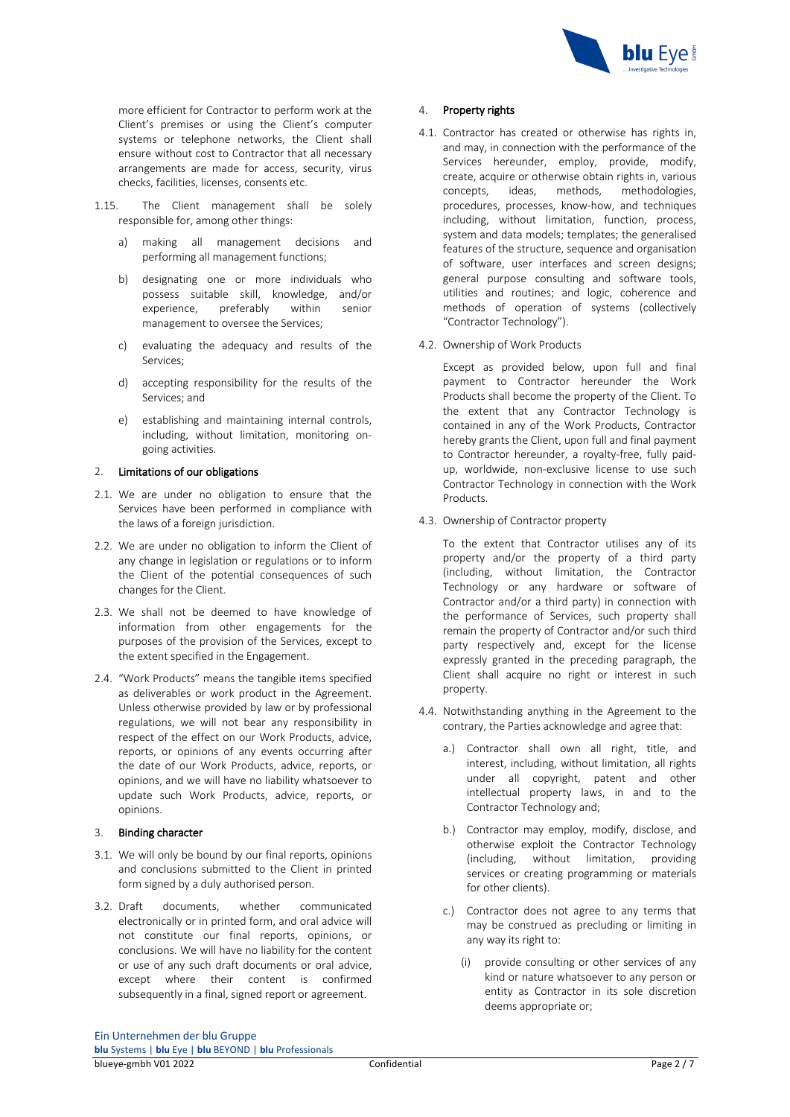

more efficient for Contractor to perform work at the Client's premises or using the Client's computer systems or telephone networks, the Client shall ensure without cost to Contractor that all necessary arrangements are made for access, security, virus checks, facilities, licenses, consents etc.

- 1.15. The Client management shall be solely responsible for, among other things:
	- a) making all management decisions and performing all management functions;
	- b) designating one or more individuals who possess suitable skill, knowledge, and/or experience, preferably within senior management to oversee the Services;
	- c) evaluating the adequacy and results of the Services;
	- d) accepting responsibility for the results of the Services; and
	- e) establishing and maintaining internal controls, including, without limitation, monitoring ongoing activities.

## 2. Limitations of our obligations

- 2.1. We are under no obligation to ensure that the Services have been performed in compliance with the laws of a foreign jurisdiction.
- 2.2. We are under no obligation to inform the Client of any change in legislation or regulations or to inform the Client of the potential consequences of such changes for the Client.
- 2.3. We shall not be deemed to have knowledge of information from other engagements for the purposes of the provision of the Services, except to the extent specified in the Engagement.
- 2.4. "Work Products" means the tangible items specified as deliverables or work product in the Agreement. Unless otherwise provided by law or by professional regulations, we will not bear any responsibility in respect of the effect on our Work Products, advice, reports, or opinions of any events occurring after the date of our Work Products, advice, reports, or opinions, and we will have no liability whatsoever to update such Work Products, advice, reports, or opinions.

## 3. Binding character

- 3.1. We will only be bound by our final reports, opinions and conclusions submitted to the Client in printed form signed by a duly authorised person.
- 3.2. Draft documents, whether communicated electronically or in printed form, and oral advice will not constitute our final reports, opinions, or conclusions. We will have no liability for the content or use of any such draft documents or oral advice, except where their content is confirmed subsequently in a final, signed report or agreement.

# 4. Property rights

- 4.1. Contractor has created or otherwise has rights in, and may, in connection with the performance of the Services hereunder, employ, provide, modify, create, acquire or otherwise obtain rights in, various concepts, ideas, methods, methodologies, procedures, processes, know-how, and techniques including, without limitation, function, process, system and data models; templates; the generalised features of the structure, sequence and organisation of software, user interfaces and screen designs; general purpose consulting and software tools, utilities and routines; and logic, coherence and methods of operation of systems (collectively "Contractor Technology").
- 4.2. Ownership of Work Products

Except as provided below, upon full and final payment to Contractor hereunder the Work Products shall become the property of the Client. To the extent that any Contractor Technology is contained in any of the Work Products, Contractor hereby grants the Client, upon full and final payment to Contractor hereunder, a royalty-free, fully paidup, worldwide, non-exclusive license to use such Contractor Technology in connection with the Work Products.

4.3. Ownership of Contractor property

To the extent that Contractor utilises any of its property and/or the property of a third party (including, without limitation, the Contractor Technology or any hardware or software of Contractor and/or a third party) in connection with the performance of Services, such property shall remain the property of Contractor and/or such third party respectively and, except for the license expressly granted in the preceding paragraph, the Client shall acquire no right or interest in such property.

- 4.4. Notwithstanding anything in the Agreement to the contrary, the Parties acknowledge and agree that:
	- a.) Contractor shall own all right, title, and interest, including, without limitation, all rights under all copyright, patent and other intellectual property laws, in and to the Contractor Technology and;
	- b.) Contractor may employ, modify, disclose, and otherwise exploit the Contractor Technology (including, without limitation, providing services or creating programming or materials for other clients).
	- c.) Contractor does not agree to any terms that may be construed as precluding or limiting in any way its right to:
		- (i) provide consulting or other services of any kind or nature whatsoever to any person or entity as Contractor in its sole discretion deems appropriate or;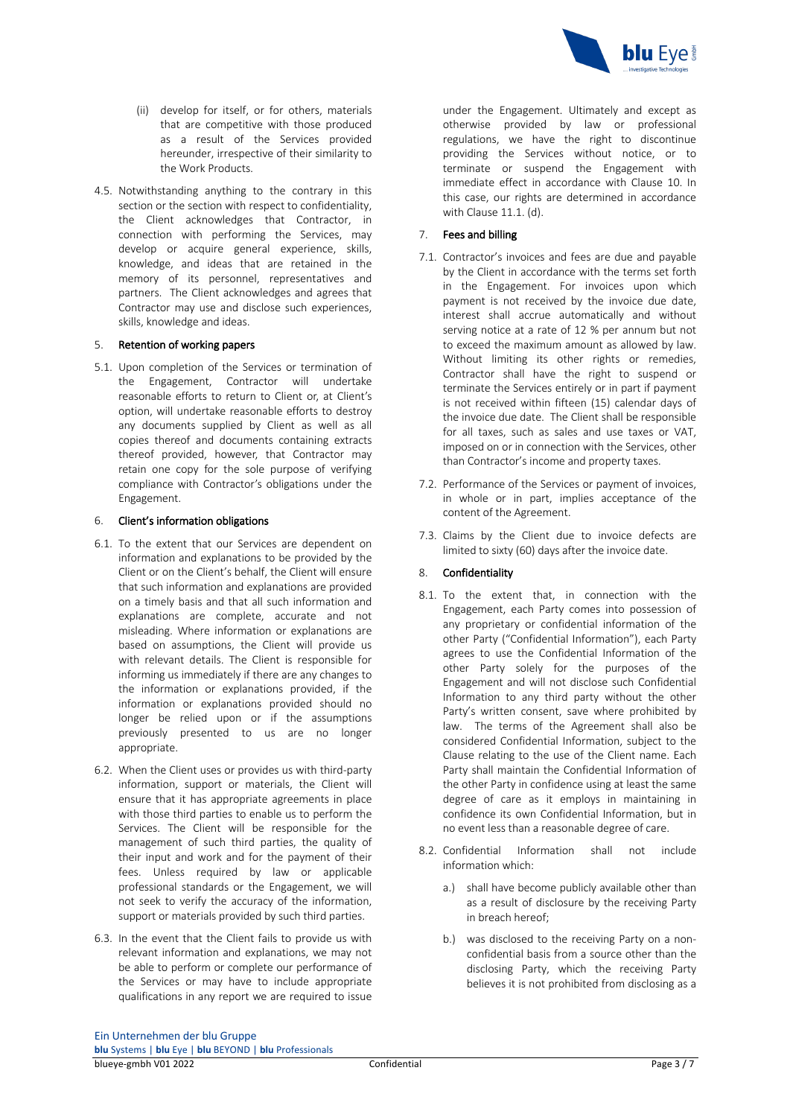

- (ii) develop for itself, or for others, materials that are competitive with those produced as a result of the Services provided hereunder, irrespective of their similarity to the Work Products.
- 4.5. Notwithstanding anything to the contrary in this section or the section with respect to confidentiality, the Client acknowledges that Contractor, in connection with performing the Services, may develop or acquire general experience, skills, knowledge, and ideas that are retained in the memory of its personnel, representatives and partners. The Client acknowledges and agrees that Contractor may use and disclose such experiences, skills, knowledge and ideas.

## 5. Retention of working papers

5.1. Upon completion of the Services or termination of the Engagement, Contractor will undertake reasonable efforts to return to Client or, at Client's option, will undertake reasonable efforts to destroy any documents supplied by Client as well as all copies thereof and documents containing extracts thereof provided, however, that Contractor may retain one copy for the sole purpose of verifying compliance with Contractor's obligations under the Engagement.

#### 6. Client's information obligations

- 6.1. To the extent that our Services are dependent on information and explanations to be provided by the Client or on the Client's behalf, the Client will ensure that such information and explanations are provided on a timely basis and that all such information and explanations are complete, accurate and not misleading. Where information or explanations are based on assumptions, the Client will provide us with relevant details. The Client is responsible for informing us immediately if there are any changes to the information or explanations provided, if the information or explanations provided should no longer be relied upon or if the assumptions previously presented to us are no longer appropriate.
- 6.2. When the Client uses or provides us with third-party information, support or materials, the Client will ensure that it has appropriate agreements in place with those third parties to enable us to perform the Services. The Client will be responsible for the management of such third parties, the quality of their input and work and for the payment of their fees. Unless required by law or applicable professional standards or the Engagement, we will not seek to verify the accuracy of the information, support or materials provided by such third parties.
- 6.3. In the event that the Client fails to provide us with relevant information and explanations, we may not be able to perform or complete our performance of the Services or may have to include appropriate qualifications in any report we are required to issue

under the Engagement. Ultimately and except as otherwise provided by law or professional regulations, we have the right to discontinue providing the Services without notice, or to terminate or suspend the Engagement with immediate effect in accordance with Clause 10. In this case, our rights are determined in accordance with Clause 11.1. (d).

## 7. Fees and billing

- 7.1. Contractor's invoices and fees are due and payable by the Client in accordance with the terms set forth in the Engagement. For invoices upon which payment is not received by the invoice due date, interest shall accrue automatically and without serving notice at a rate of 12 % per annum but not to exceed the maximum amount as allowed by law. Without limiting its other rights or remedies, Contractor shall have the right to suspend or terminate the Services entirely or in part if payment is not received within fifteen (15) calendar days of the invoice due date. The Client shall be responsible for all taxes, such as sales and use taxes or VAT, imposed on or in connection with the Services, other than Contractor's income and property taxes.
- 7.2. Performance of the Services or payment of invoices, in whole or in part, implies acceptance of the content of the Agreement.
- 7.3. Claims by the Client due to invoice defects are limited to sixty (60) days after the invoice date.

#### 8. Confidentiality

- 8.1. To the extent that, in connection with the Engagement, each Party comes into possession of any proprietary or confidential information of the other Party ("Confidential Information"), each Party agrees to use the Confidential Information of the other Party solely for the purposes of the Engagement and will not disclose such Confidential Information to any third party without the other Party's written consent, save where prohibited by law. The terms of the Agreement shall also be considered Confidential Information, subject to the Clause relating to the use of the Client name. Each Party shall maintain the Confidential Information of the other Party in confidence using at least the same degree of care as it employs in maintaining in confidence its own Confidential Information, but in no event less than a reasonable degree of care.
- 8.2. Confidential Information shall not include information which:
	- a.) shall have become publicly available other than as a result of disclosure by the receiving Party in breach hereof;
	- b.) was disclosed to the receiving Party on a nonconfidential basis from a source other than the disclosing Party, which the receiving Party believes it is not prohibited from disclosing as a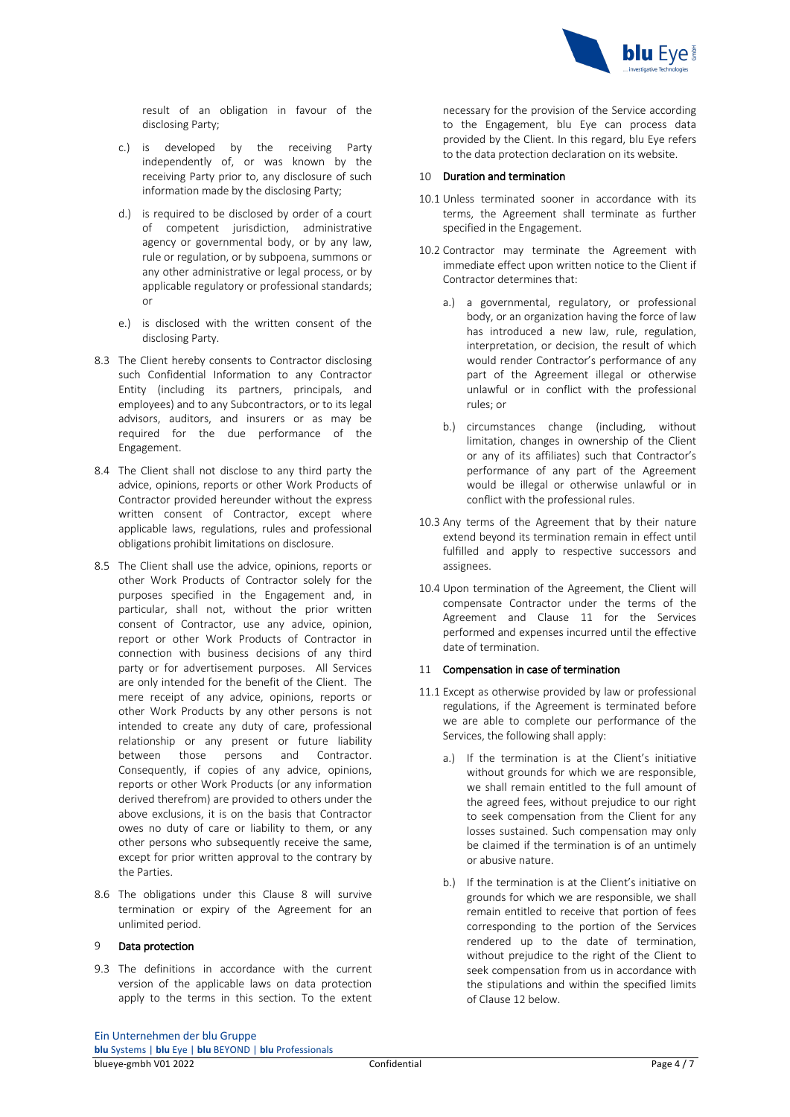

result of an obligation in favour of the disclosing Party;

- c.) is developed by the receiving Party independently of, or was known by the receiving Party prior to, any disclosure of such information made by the disclosing Party;
- d.) is required to be disclosed by order of a court of competent jurisdiction, administrative agency or governmental body, or by any law, rule or regulation, or by subpoena, summons or any other administrative or legal process, or by applicable regulatory or professional standards; or
- e.) is disclosed with the written consent of the disclosing Party.
- 8.3 The Client hereby consents to Contractor disclosing such Confidential Information to any Contractor Entity (including its partners, principals, and employees) and to any Subcontractors, or to its legal advisors, auditors, and insurers or as may be required for the due performance of the Engagement.
- 8.4 The Client shall not disclose to any third party the advice, opinions, reports or other Work Products of Contractor provided hereunder without the express written consent of Contractor, except where applicable laws, regulations, rules and professional obligations prohibit limitations on disclosure.
- 8.5 The Client shall use the advice, opinions, reports or other Work Products of Contractor solely for the purposes specified in the Engagement and, in particular, shall not, without the prior written consent of Contractor, use any advice, opinion, report or other Work Products of Contractor in connection with business decisions of any third party or for advertisement purposes. All Services are only intended for the benefit of the Client. The mere receipt of any advice, opinions, reports or other Work Products by any other persons is not intended to create any duty of care, professional relationship or any present or future liability between those persons and Contractor. Consequently, if copies of any advice, opinions, reports or other Work Products (or any information derived therefrom) are provided to others under the above exclusions, it is on the basis that Contractor owes no duty of care or liability to them, or any other persons who subsequently receive the same, except for prior written approval to the contrary by the Parties.
- 8.6 The obligations under this Clause 8 will survive termination or expiry of the Agreement for an unlimited period.

## Data protection

9.3 The definitions in accordance with the current version of the applicable laws on data protection apply to the terms in this section. To the extent necessary for the provision of the Service according to the Engagement, blu Eye can process data provided by the Client. In this regard, blu Eye refers to the data protection declaration on its website.

## 10 Duration and termination

- 10.1 Unless terminated sooner in accordance with its terms, the Agreement shall terminate as further specified in the Engagement.
- 10.2 Contractor may terminate the Agreement with immediate effect upon written notice to the Client if Contractor determines that:
	- a.) a governmental, regulatory, or professional body, or an organization having the force of law has introduced a new law, rule, regulation, interpretation, or decision, the result of which would render Contractor's performance of any part of the Agreement illegal or otherwise unlawful or in conflict with the professional rules; or
	- b.) circumstances change (including, without limitation, changes in ownership of the Client or any of its affiliates) such that Contractor's performance of any part of the Agreement would be illegal or otherwise unlawful or in conflict with the professional rules.
- 10.3 Any terms of the Agreement that by their nature extend beyond its termination remain in effect until fulfilled and apply to respective successors and assignees.
- 10.4 Upon termination of the Agreement, the Client will compensate Contractor under the terms of the Agreement and Clause 11 for the Services performed and expenses incurred until the effective date of termination.

## 11 Compensation in case of termination

- 11.1 Except as otherwise provided by law or professional regulations, if the Agreement is terminated before we are able to complete our performance of the Services, the following shall apply:
	- a.) If the termination is at the Client's initiative without grounds for which we are responsible, we shall remain entitled to the full amount of the agreed fees, without prejudice to our right to seek compensation from the Client for any losses sustained. Such compensation may only be claimed if the termination is of an untimely or abusive nature.
	- b.) If the termination is at the Client's initiative on grounds for which we are responsible, we shall remain entitled to receive that portion of fees corresponding to the portion of the Services rendered up to the date of termination, without prejudice to the right of the Client to seek compensation from us in accordance with the stipulations and within the specified limits of Clause 12 below.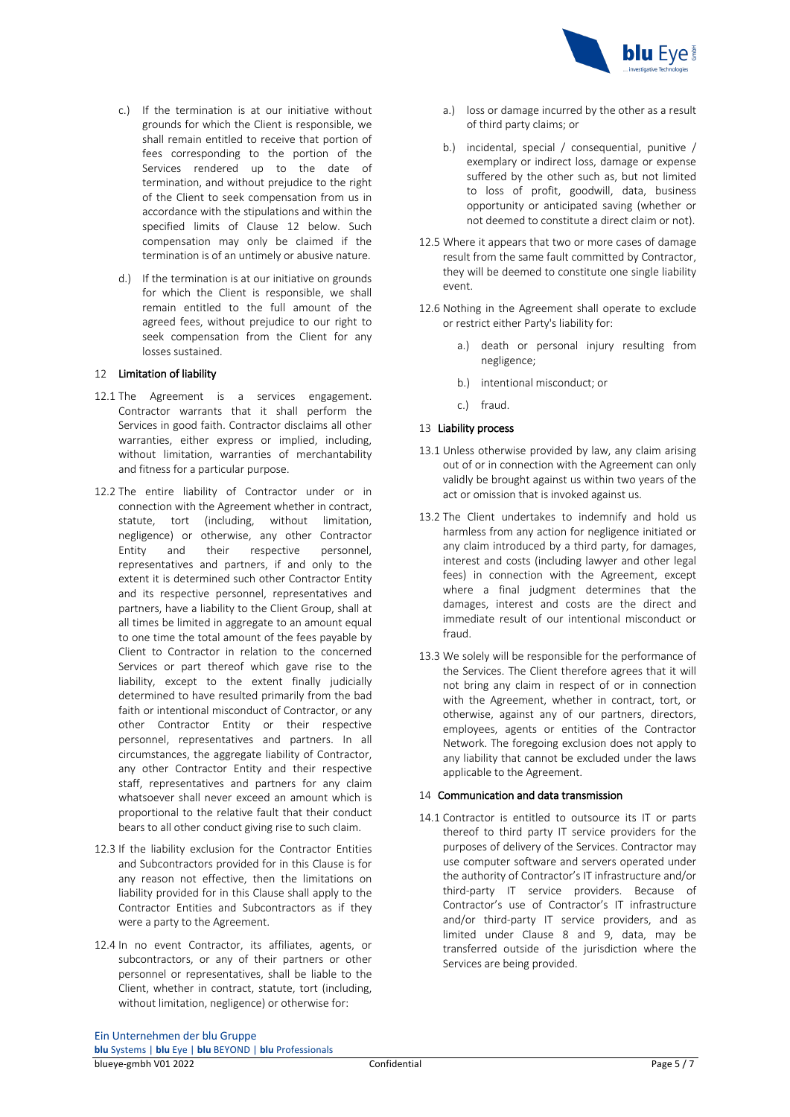

- c.) If the termination is at our initiative without grounds for which the Client is responsible, we shall remain entitled to receive that portion of fees corresponding to the portion of the Services rendered up to the date of termination, and without prejudice to the right of the Client to seek compensation from us in accordance with the stipulations and within the specified limits of Clause 12 below. Such compensation may only be claimed if the termination is of an untimely or abusive nature.
- d.) If the termination is at our initiative on grounds for which the Client is responsible, we shall remain entitled to the full amount of the agreed fees, without prejudice to our right to seek compensation from the Client for any losses sustained.

# 12 Limitation of liability

- 12.1 The Agreement is a services engagement. Contractor warrants that it shall perform the Services in good faith. Contractor disclaims all other warranties, either express or implied, including, without limitation, warranties of merchantability and fitness for a particular purpose.
- 12.2 The entire liability of Contractor under or in connection with the Agreement whether in contract, statute, tort (including, without limitation, negligence) or otherwise, any other Contractor Entity and their respective personnel, representatives and partners, if and only to the extent it is determined such other Contractor Entity and its respective personnel, representatives and partners, have a liability to the Client Group, shall at all times be limited in aggregate to an amount equal to one time the total amount of the fees payable by Client to Contractor in relation to the concerned Services or part thereof which gave rise to the liability, except to the extent finally judicially determined to have resulted primarily from the bad faith or intentional misconduct of Contractor, or any other Contractor Entity or their respective personnel, representatives and partners. In all circumstances, the aggregate liability of Contractor, any other Contractor Entity and their respective staff, representatives and partners for any claim whatsoever shall never exceed an amount which is proportional to the relative fault that their conduct bears to all other conduct giving rise to such claim.
- 12.3 If the liability exclusion for the Contractor Entities and Subcontractors provided for in this Clause is for any reason not effective, then the limitations on liability provided for in this Clause shall apply to the Contractor Entities and Subcontractors as if they were a party to the Agreement.
- 12.4 In no event Contractor, its affiliates, agents, or subcontractors, or any of their partners or other personnel or representatives, shall be liable to the Client, whether in contract, statute, tort (including, without limitation, negligence) or otherwise for:
- a.) loss or damage incurred by the other as a result of third party claims; or
- b.) incidental, special / consequential, punitive / exemplary or indirect loss, damage or expense suffered by the other such as, but not limited to loss of profit, goodwill, data, business opportunity or anticipated saving (whether or not deemed to constitute a direct claim or not).
- 12.5 Where it appears that two or more cases of damage result from the same fault committed by Contractor, they will be deemed to constitute one single liability event.
- 12.6 Nothing in the Agreement shall operate to exclude or restrict either Party's liability for:
	- a.) death or personal injury resulting from negligence;
	- b.) intentional misconduct; or
	- c.) fraud.

## 13 Liability process

- 13.1 Unless otherwise provided by law, any claim arising out of or in connection with the Agreement can only validly be brought against us within two years of the act or omission that is invoked against us.
- 13.2 The Client undertakes to indemnify and hold us harmless from any action for negligence initiated or any claim introduced by a third party, for damages, interest and costs (including lawyer and other legal fees) in connection with the Agreement, except where a final judgment determines that the damages, interest and costs are the direct and immediate result of our intentional misconduct or fraud.
- 13.3 We solely will be responsible for the performance of the Services. The Client therefore agrees that it will not bring any claim in respect of or in connection with the Agreement, whether in contract, tort, or otherwise, against any of our partners, directors, employees, agents or entities of the Contractor Network. The foregoing exclusion does not apply to any liability that cannot be excluded under the laws applicable to the Agreement.

#### 14 Communication and data transmission

14.1 Contractor is entitled to outsource its IT or parts thereof to third party IT service providers for the purposes of delivery of the Services. Contractor may use computer software and servers operated under the authority of Contractor's IT infrastructure and/or third-party IT service providers. Because of Contractor's use of Contractor's IT infrastructure and/or third-party IT service providers, and as limited under Clause 8 and 9, data, may be transferred outside of the jurisdiction where the Services are being provided.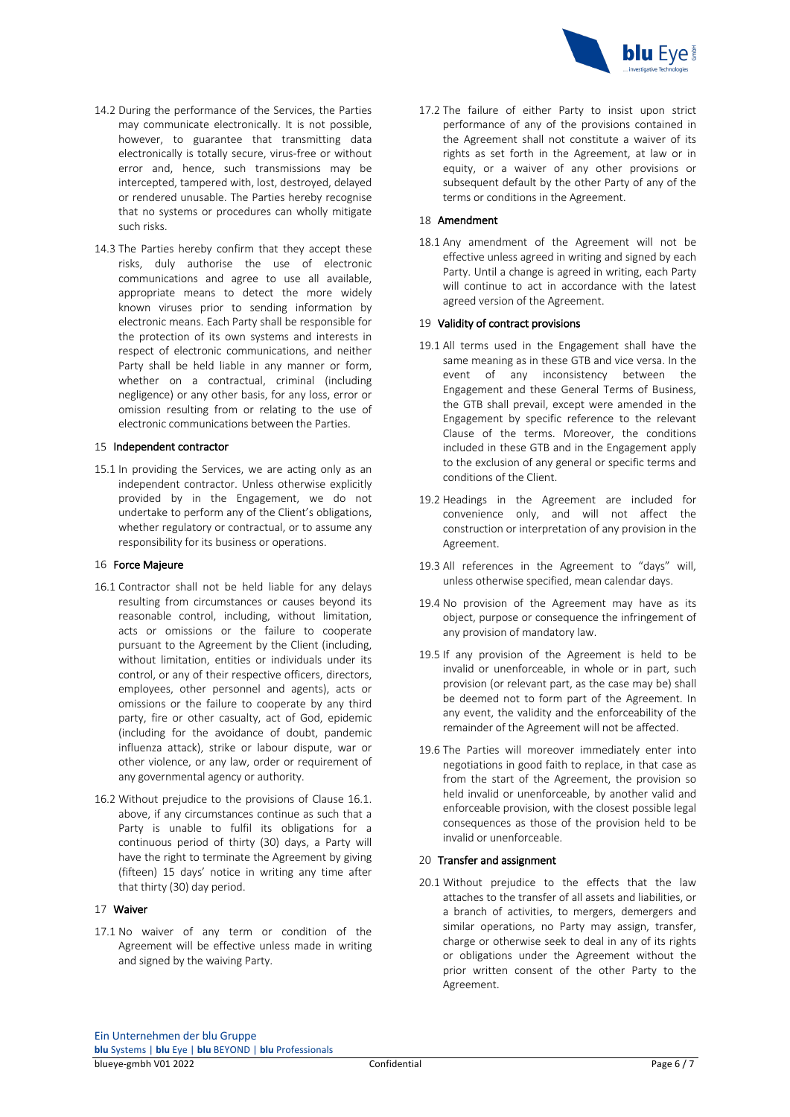

- 14.2 During the performance of the Services, the Parties may communicate electronically. It is not possible, however, to guarantee that transmitting data electronically is totally secure, virus-free or without error and, hence, such transmissions may be intercepted, tampered with, lost, destroyed, delayed or rendered unusable. The Parties hereby recognise that no systems or procedures can wholly mitigate such risks.
- 14.3 The Parties hereby confirm that they accept these risks, duly authorise the use of electronic communications and agree to use all available, appropriate means to detect the more widely known viruses prior to sending information by electronic means. Each Party shall be responsible for the protection of its own systems and interests in respect of electronic communications, and neither Party shall be held liable in any manner or form, whether on a contractual, criminal (including negligence) or any other basis, for any loss, error or omission resulting from or relating to the use of electronic communications between the Parties.

#### 15 Independent contractor

15.1 In providing the Services, we are acting only as an independent contractor. Unless otherwise explicitly provided by in the Engagement, we do not undertake to perform any of the Client's obligations, whether regulatory or contractual, or to assume any responsibility for its business or operations.

#### 16 Force Majeure

- 16.1 Contractor shall not be held liable for any delays resulting from circumstances or causes beyond its reasonable control, including, without limitation, acts or omissions or the failure to cooperate pursuant to the Agreement by the Client (including, without limitation, entities or individuals under its control, or any of their respective officers, directors, employees, other personnel and agents), acts or omissions or the failure to cooperate by any third party, fire or other casualty, act of God, epidemic (including for the avoidance of doubt, pandemic influenza attack), strike or labour dispute, war or other violence, or any law, order or requirement of any governmental agency or authority.
- 16.2 Without prejudice to the provisions of Clause 16.1. above, if any circumstances continue as such that a Party is unable to fulfil its obligations for a continuous period of thirty (30) days, a Party will have the right to terminate the Agreement by giving (fifteen) 15 days' notice in writing any time after that thirty (30) day period.

#### 17 Waiver

17.1 No waiver of any term or condition of the Agreement will be effective unless made in writing and signed by the waiving Party.

17.2 The failure of either Party to insist upon strict performance of any of the provisions contained in the Agreement shall not constitute a waiver of its rights as set forth in the Agreement, at law or in equity, or a waiver of any other provisions or subsequent default by the other Party of any of the terms or conditions in the Agreement.

# 18 Amendment

18.1 Any amendment of the Agreement will not be effective unless agreed in writing and signed by each Party. Until a change is agreed in writing, each Party will continue to act in accordance with the latest agreed version of the Agreement.

#### 19 Validity of contract provisions

- 19.1 All terms used in the Engagement shall have the same meaning as in these GTB and vice versa. In the event of any inconsistency between the Engagement and these General Terms of Business, the GTB shall prevail, except were amended in the Engagement by specific reference to the relevant Clause of the terms. Moreover, the conditions included in these GTB and in the Engagement apply to the exclusion of any general or specific terms and conditions of the Client.
- 19.2 Headings in the Agreement are included for convenience only, and will not affect the construction or interpretation of any provision in the Agreement.
- 19.3 All references in the Agreement to "days" will, unless otherwise specified, mean calendar days.
- 19.4 No provision of the Agreement may have as its object, purpose or consequence the infringement of any provision of mandatory law.
- 19.5 If any provision of the Agreement is held to be invalid or unenforceable, in whole or in part, such provision (or relevant part, as the case may be) shall be deemed not to form part of the Agreement. In any event, the validity and the enforceability of the remainder of the Agreement will not be affected.
- 19.6 The Parties will moreover immediately enter into negotiations in good faith to replace, in that case as from the start of the Agreement, the provision so held invalid or unenforceable, by another valid and enforceable provision, with the closest possible legal consequences as those of the provision held to be invalid or unenforceable.

#### 20 Transfer and assignment

20.1 Without prejudice to the effects that the law attaches to the transfer of all assets and liabilities, or a branch of activities, to mergers, demergers and similar operations, no Party may assign, transfer, charge or otherwise seek to deal in any of its rights or obligations under the Agreement without the prior written consent of the other Party to the Agreement.